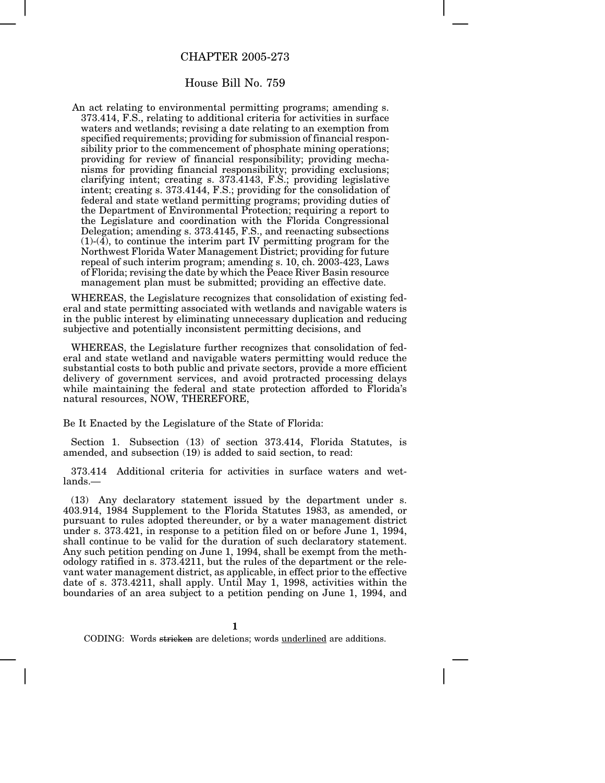## CHAPTER 2005-273

## House Bill No. 759

An act relating to environmental permitting programs; amending s. 373.414, F.S., relating to additional criteria for activities in surface waters and wetlands; revising a date relating to an exemption from specified requirements; providing for submission of financial responsibility prior to the commencement of phosphate mining operations; providing for review of financial responsibility; providing mechanisms for providing financial responsibility; providing exclusions; clarifying intent; creating s. 373.4143, F.S.; providing legislative intent; creating s. 373.4144, F.S.; providing for the consolidation of federal and state wetland permitting programs; providing duties of the Department of Environmental Protection; requiring a report to the Legislature and coordination with the Florida Congressional Delegation; amending s. 373.4145, F.S., and reenacting subsections (1)-(4), to continue the interim part IV permitting program for the Northwest Florida Water Management District; providing for future repeal of such interim program; amending s. 10, ch. 2003-423, Laws of Florida; revising the date by which the Peace River Basin resource management plan must be submitted; providing an effective date.

WHEREAS, the Legislature recognizes that consolidation of existing federal and state permitting associated with wetlands and navigable waters is in the public interest by eliminating unnecessary duplication and reducing subjective and potentially inconsistent permitting decisions, and

WHEREAS, the Legislature further recognizes that consolidation of federal and state wetland and navigable waters permitting would reduce the substantial costs to both public and private sectors, provide a more efficient delivery of government services, and avoid protracted processing delays while maintaining the federal and state protection afforded to Florida's natural resources, NOW, THEREFORE,

Be It Enacted by the Legislature of the State of Florida:

Section 1. Subsection (13) of section 373.414, Florida Statutes, is amended, and subsection (19) is added to said section, to read:

373.414 Additional criteria for activities in surface waters and wetlands.—

(13) Any declaratory statement issued by the department under s. 403.914, 1984 Supplement to the Florida Statutes 1983, as amended, or pursuant to rules adopted thereunder, or by a water management district under s. 373.421, in response to a petition filed on or before June 1, 1994, shall continue to be valid for the duration of such declaratory statement. Any such petition pending on June 1, 1994, shall be exempt from the methodology ratified in s. 373.4211, but the rules of the department or the relevant water management district, as applicable, in effect prior to the effective date of s. 373.4211, shall apply. Until May 1, 1998, activities within the boundaries of an area subject to a petition pending on June 1, 1994, and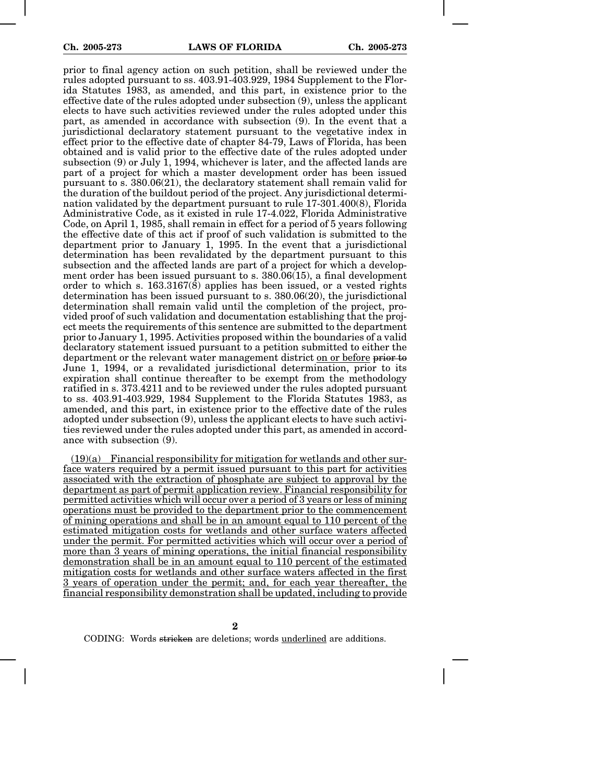prior to final agency action on such petition, shall be reviewed under the rules adopted pursuant to ss. 403.91-403.929, 1984 Supplement to the Florida Statutes 1983, as amended, and this part, in existence prior to the effective date of the rules adopted under subsection (9), unless the applicant elects to have such activities reviewed under the rules adopted under this part, as amended in accordance with subsection (9). In the event that a jurisdictional declaratory statement pursuant to the vegetative index in effect prior to the effective date of chapter 84-79, Laws of Florida, has been obtained and is valid prior to the effective date of the rules adopted under subsection (9) or July 1, 1994, whichever is later, and the affected lands are part of a project for which a master development order has been issued pursuant to s. 380.06(21), the declaratory statement shall remain valid for the duration of the buildout period of the project. Any jurisdictional determination validated by the department pursuant to rule 17-301.400(8), Florida Administrative Code, as it existed in rule 17-4.022, Florida Administrative Code, on April 1, 1985, shall remain in effect for a period of 5 years following the effective date of this act if proof of such validation is submitted to the department prior to January 1, 1995. In the event that a jurisdictional determination has been revalidated by the department pursuant to this subsection and the affected lands are part of a project for which a development order has been issued pursuant to s. 380.06(15), a final development order to which s. 163.3167(8) applies has been issued, or a vested rights determination has been issued pursuant to s. 380.06(20), the jurisdictional determination shall remain valid until the completion of the project, provided proof of such validation and documentation establishing that the project meets the requirements of this sentence are submitted to the department prior to January 1, 1995. Activities proposed within the boundaries of a valid declaratory statement issued pursuant to a petition submitted to either the department or the relevant water management district on or before prior to June 1, 1994, or a revalidated jurisdictional determination, prior to its expiration shall continue thereafter to be exempt from the methodology ratified in s. 373.4211 and to be reviewed under the rules adopted pursuant to ss. 403.91-403.929, 1984 Supplement to the Florida Statutes 1983, as amended, and this part, in existence prior to the effective date of the rules adopted under subsection (9), unless the applicant elects to have such activities reviewed under the rules adopted under this part, as amended in accordance with subsection (9).

 $(19)(a)$  Financial responsibility for mitigation for wetlands and other surface waters required by a permit issued pursuant to this part for activities associated with the extraction of phosphate are subject to approval by the department as part of permit application review. Financial responsibility for permitted activities which will occur over a period of 3 years or less of mining operations must be provided to the department prior to the commencement of mining operations and shall be in an amount equal to 110 percent of the estimated mitigation costs for wetlands and other surface waters affected under the permit. For permitted activities which will occur over a period of more than 3 years of mining operations, the initial financial responsibility demonstration shall be in an amount equal to 110 percent of the estimated mitigation costs for wetlands and other surface waters affected in the first 3 years of operation under the permit; and, for each year thereafter, the financial responsibility demonstration shall be updated, including to provide

**2**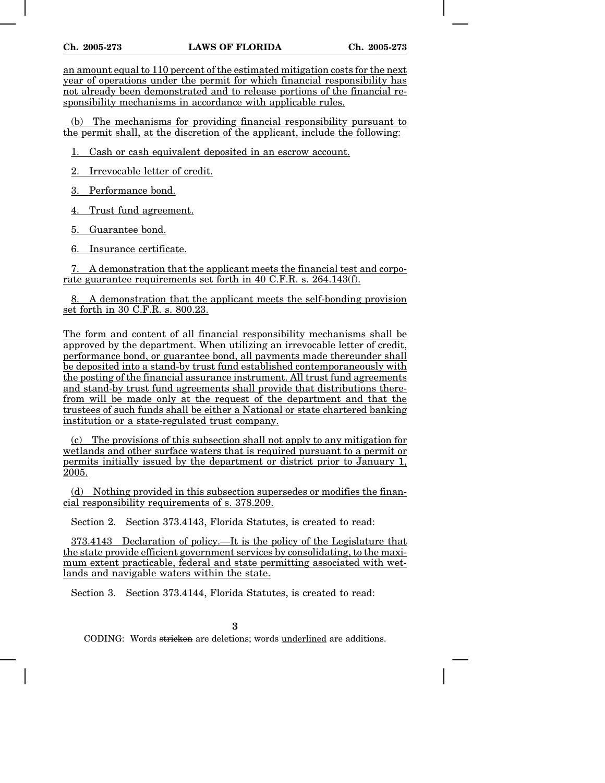an amount equal to 110 percent of the estimated mitigation costs for the next year of operations under the permit for which financial responsibility has not already been demonstrated and to release portions of the financial responsibility mechanisms in accordance with applicable rules.

(b) The mechanisms for providing financial responsibility pursuant to the permit shall, at the discretion of the applicant, include the following:

1. Cash or cash equivalent deposited in an escrow account.

2. Irrevocable letter of credit.

3. Performance bond.

4. Trust fund agreement.

5. Guarantee bond.

6. Insurance certificate.

7. A demonstration that the applicant meets the financial test and corporate guarantee requirements set forth in 40 C.F.R. s. 264.143(f).

8. A demonstration that the applicant meets the self-bonding provision set forth in 30 C.F.R. s. 800.23.

The form and content of all financial responsibility mechanisms shall be approved by the department. When utilizing an irrevocable letter of credit, performance bond, or guarantee bond, all payments made thereunder shall be deposited into a stand-by trust fund established contemporaneously with the posting of the financial assurance instrument. All trust fund agreements and stand-by trust fund agreements shall provide that distributions therefrom will be made only at the request of the department and that the trustees of such funds shall be either a National or state chartered banking institution or a state-regulated trust company.

(c) The provisions of this subsection shall not apply to any mitigation for wetlands and other surface waters that is required pursuant to a permit or permits initially issued by the department or district prior to January 1, 2005.

(d) Nothing provided in this subsection supersedes or modifies the financial responsibility requirements of s. 378.209.

Section 2. Section 373.4143, Florida Statutes, is created to read:

373.4143 Declaration of policy.—It is the policy of the Legislature that the state provide efficient government services by consolidating, to the maximum extent practicable, federal and state permitting associated with wetlands and navigable waters within the state.

Section 3. Section 373.4144, Florida Statutes, is created to read: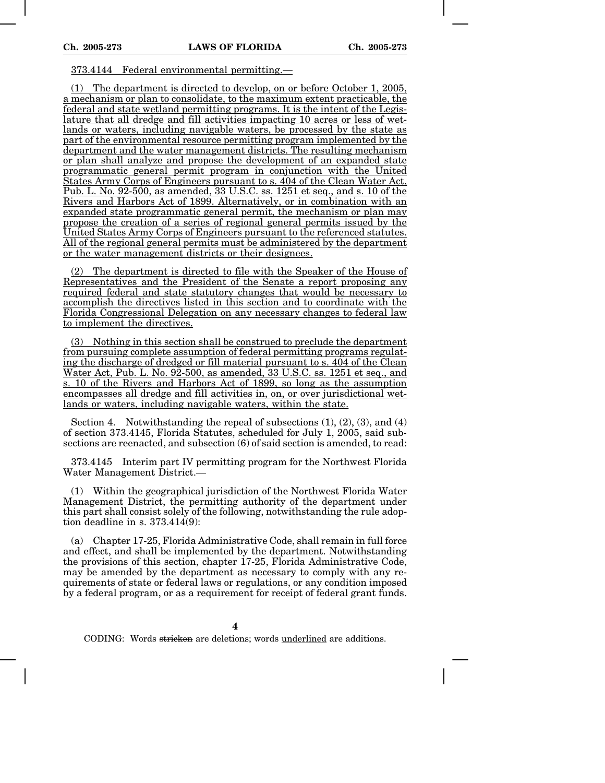## 373.4144 Federal environmental permitting.—

(1) The department is directed to develop, on or before October 1, 2005, a mechanism or plan to consolidate, to the maximum extent practicable, the federal and state wetland permitting programs. It is the intent of the Legislature that all dredge and fill activities impacting 10 acres or less of wetlands or waters, including navigable waters, be processed by the state as part of the environmental resource permitting program implemented by the department and the water management districts. The resulting mechanism or plan shall analyze and propose the development of an expanded state programmatic general permit program in conjunction with the United States Army Corps of Engineers pursuant to s. 404 of the Clean Water Act, Pub. L. No. 92-500, as amended, 33 U.S.C. ss. 1251 et seq., and s. 10 of the Rivers and Harbors Act of 1899. Alternatively, or in combination with an expanded state programmatic general permit, the mechanism or plan may propose the creation of a series of regional general permits issued by the United States Army Corps of Engineers pursuant to the referenced statutes. All of the regional general permits must be administered by the department or the water management districts or their designees.

(2) The department is directed to file with the Speaker of the House of Representatives and the President of the Senate a report proposing any required federal and state statutory changes that would be necessary to accomplish the directives listed in this section and to coordinate with the Florida Congressional Delegation on any necessary changes to federal law to implement the directives.

(3) Nothing in this section shall be construed to preclude the department from pursuing complete assumption of federal permitting programs regulating the discharge of dredged or fill material pursuant to s. 404 of the Clean Water Act, Pub. L. No. 92-500, as amended, 33 U.S.C. ss. 1251 et seq., and s. 10 of the Rivers and Harbors Act of 1899, so long as the assumption encompasses all dredge and fill activities in, on, or over jurisdictional wetlands or waters, including navigable waters, within the state.

Section 4. Notwithstanding the repeal of subsections  $(1), (2), (3),$  and  $(4)$ of section 373.4145, Florida Statutes, scheduled for July 1, 2005, said subsections are reenacted, and subsection (6) of said section is amended, to read:

373.4145 Interim part IV permitting program for the Northwest Florida Water Management District.—

(1) Within the geographical jurisdiction of the Northwest Florida Water Management District, the permitting authority of the department under this part shall consist solely of the following, notwithstanding the rule adoption deadline in s. 373.414(9):

(a) Chapter 17-25, Florida Administrative Code, shall remain in full force and effect, and shall be implemented by the department. Notwithstanding the provisions of this section, chapter 17-25, Florida Administrative Code, may be amended by the department as necessary to comply with any requirements of state or federal laws or regulations, or any condition imposed by a federal program, or as a requirement for receipt of federal grant funds.

**4**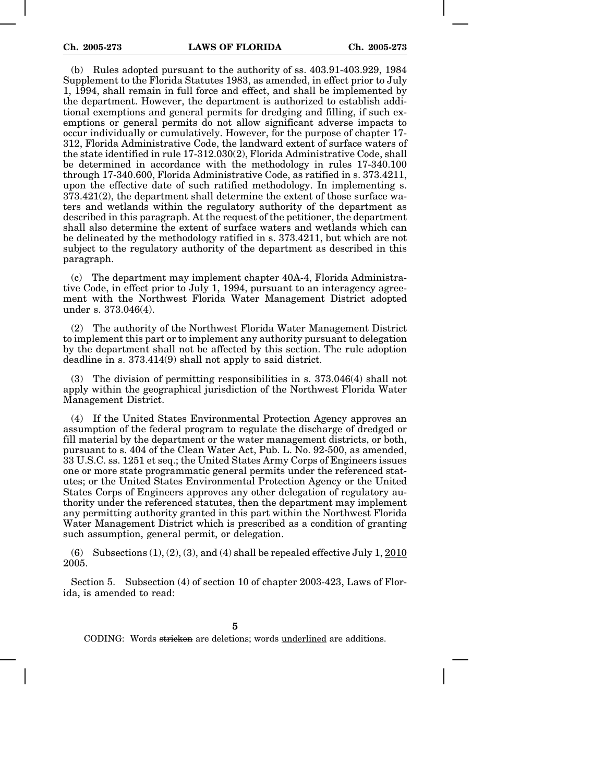(b) Rules adopted pursuant to the authority of ss. 403.91-403.929, 1984 Supplement to the Florida Statutes 1983, as amended, in effect prior to July 1, 1994, shall remain in full force and effect, and shall be implemented by the department. However, the department is authorized to establish additional exemptions and general permits for dredging and filling, if such exemptions or general permits do not allow significant adverse impacts to occur individually or cumulatively. However, for the purpose of chapter 17- 312, Florida Administrative Code, the landward extent of surface waters of the state identified in rule 17-312.030(2), Florida Administrative Code, shall be determined in accordance with the methodology in rules 17-340.100 through 17-340.600, Florida Administrative Code, as ratified in s. 373.4211, upon the effective date of such ratified methodology. In implementing s. 373.421(2), the department shall determine the extent of those surface waters and wetlands within the regulatory authority of the department as described in this paragraph. At the request of the petitioner, the department shall also determine the extent of surface waters and wetlands which can be delineated by the methodology ratified in s. 373.4211, but which are not subject to the regulatory authority of the department as described in this paragraph.

(c) The department may implement chapter 40A-4, Florida Administrative Code, in effect prior to July 1, 1994, pursuant to an interagency agreement with the Northwest Florida Water Management District adopted under s. 373.046(4).

(2) The authority of the Northwest Florida Water Management District to implement this part or to implement any authority pursuant to delegation by the department shall not be affected by this section. The rule adoption deadline in s. 373.414(9) shall not apply to said district.

The division of permitting responsibilities in s.  $373.046(4)$  shall not apply within the geographical jurisdiction of the Northwest Florida Water Management District.

(4) If the United States Environmental Protection Agency approves an assumption of the federal program to regulate the discharge of dredged or fill material by the department or the water management districts, or both, pursuant to s. 404 of the Clean Water Act, Pub. L. No. 92-500, as amended, 33 U.S.C. ss. 1251 et seq.; the United States Army Corps of Engineers issues one or more state programmatic general permits under the referenced statutes; or the United States Environmental Protection Agency or the United States Corps of Engineers approves any other delegation of regulatory authority under the referenced statutes, then the department may implement any permitting authority granted in this part within the Northwest Florida Water Management District which is prescribed as a condition of granting such assumption, general permit, or delegation.

(6) Subsections  $(1)$ ,  $(2)$ ,  $(3)$ , and  $(4)$  shall be repealed effective July 1,  $\overline{2010}$ 2005.

Section 5. Subsection (4) of section 10 of chapter 2003-423, Laws of Florida, is amended to read:

**5**